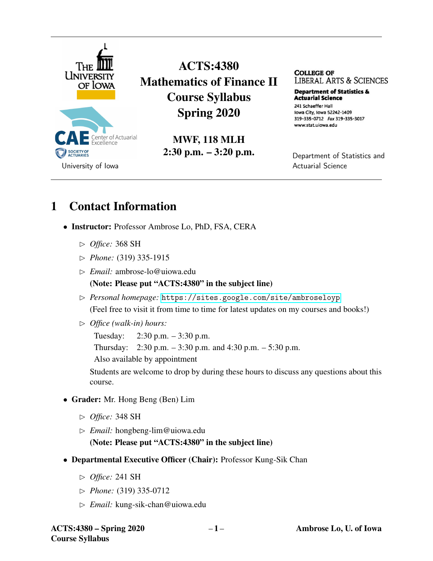

ACTS:4380 Mathematics of Finance II Course Syllabus Spring 2020

> MWF, 118 MLH 2:30 p.m. – 3:20 p.m.

**COLLEGE OF**  LIBERAL ARTS & SCIENCES

**Department of Statistics & Actuarial science**  241 Schaeffer Hall Iowa City, Iowa 52242-1409 319-335-0712 Fax 319-335-3017 www.stat.uiowa.edu

Department of Statistics and Actuarial Science

### 1 Contact Information

- Instructor: Professor Ambrose Lo, PhD, FSA, CERA
	- ✄ *Office:* 368 SH
	- ✄ *Phone:* (319) 335-1915
	- ✄ *Email:* ambrose-lo@uiowa.edu

#### (Note: Please put "ACTS:4380" in the subject line)

- ✄ *Personal homepage:* <https://sites.google.com/site/ambroseloyp> (Feel free to visit it from time to time for latest updates on my courses and books!)
- ✄ *Office (walk-in) hours:*

Tuesday: 2:30 p.m. – 3:30 p.m.

Thursday:  $2:30 \text{ p.m.} - 3:30 \text{ p.m.}$  and  $4:30 \text{ p.m.} - 5:30 \text{ p.m.}$ 

Also available by appointment

Students are welcome to drop by during these hours to discuss any questions about this course.

- Grader: Mr. Hong Beng (Ben) Lim
	- ✄ *Office:* 348 SH
	- ✄ *Email:* hongbeng-lim@uiowa.edu

(Note: Please put "ACTS:4380" in the subject line)

- Departmental Executive Officer (Chair): Professor Kung-Sik Chan
	- ✄ *Office:* 241 SH
	- ✄ *Phone:* (319) 335-0712
	- ✄ *Email:* kung-sik-chan@uiowa.edu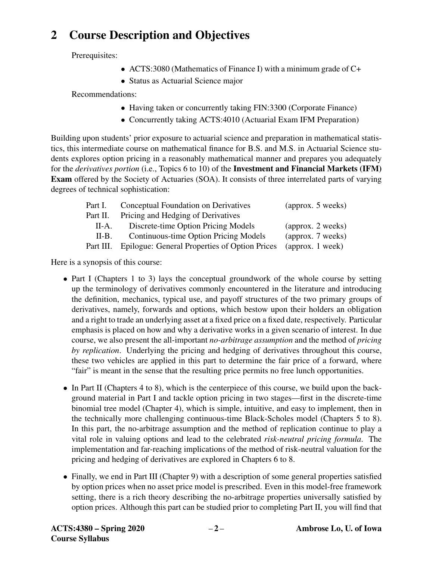## 2 Course Description and Objectives

Prerequisites:

- ACTS:3080 (Mathematics of Finance I) with a minimum grade of C+
- Status as Actuarial Science major

Recommendations:

- Having taken or concurrently taking FIN:3300 (Corporate Finance)
- Concurrently taking ACTS:4010 (Actuarial Exam IFM Preparation)

Building upon students' prior exposure to actuarial science and preparation in mathematical statistics, this intermediate course on mathematical finance for B.S. and M.S. in Actuarial Science students explores option pricing in a reasonably mathematical manner and prepares you adequately for the *derivatives portion* (i.e., Topics 6 to 10) of the Investment and Financial Markets (IFM) Exam offered by the Society of Actuaries (SOA). It consists of three interrelated parts of varying degrees of technical sophistication:

| Part I.   | Conceptual Foundation on Derivatives          | (approx. 5 weeks)         |  |  |
|-----------|-----------------------------------------------|---------------------------|--|--|
| Part II.  | Pricing and Hedging of Derivatives            |                           |  |  |
| II-A.     | Discrete-time Option Pricing Models           | (approx. 2 weeks)         |  |  |
| $II-B.$   | Continuous-time Option Pricing Models         | (approx. 7 weeks)         |  |  |
| Part III. | Epilogue: General Properties of Option Prices | $\alpha$ (approx. 1 week) |  |  |
|           |                                               |                           |  |  |

Here is a synopsis of this course:

- Part I (Chapters 1 to 3) lays the conceptual groundwork of the whole course by setting up the terminology of derivatives commonly encountered in the literature and introducing the definition, mechanics, typical use, and payoff structures of the two primary groups of derivatives, namely, forwards and options, which bestow upon their holders an obligation and a right to trade an underlying asset at a fixed price on a fixed date, respectively. Particular emphasis is placed on how and why a derivative works in a given scenario of interest. In due course, we also present the all-important *no-arbitrage assumption* and the method of *pricing by replication*. Underlying the pricing and hedging of derivatives throughout this course, these two vehicles are applied in this part to determine the fair price of a forward, where "fair" is meant in the sense that the resulting price permits no free lunch opportunities.
- In Part II (Chapters 4 to 8), which is the centerpiece of this course, we build upon the background material in Part I and tackle option pricing in two stages—first in the discrete-time binomial tree model (Chapter 4), which is simple, intuitive, and easy to implement, then in the technically more challenging continuous-time Black-Scholes model (Chapters 5 to 8). In this part, the no-arbitrage assumption and the method of replication continue to play a vital role in valuing options and lead to the celebrated *risk-neutral pricing formula*. The implementation and far-reaching implications of the method of risk-neutral valuation for the pricing and hedging of derivatives are explored in Chapters 6 to 8.
- Finally, we end in Part III (Chapter 9) with a description of some general properties satisfied by option prices when no asset price model is prescribed. Even in this model-free framework setting, there is a rich theory describing the no-arbitrage properties universally satisfied by option prices. Although this part can be studied prior to completing Part II, you will find that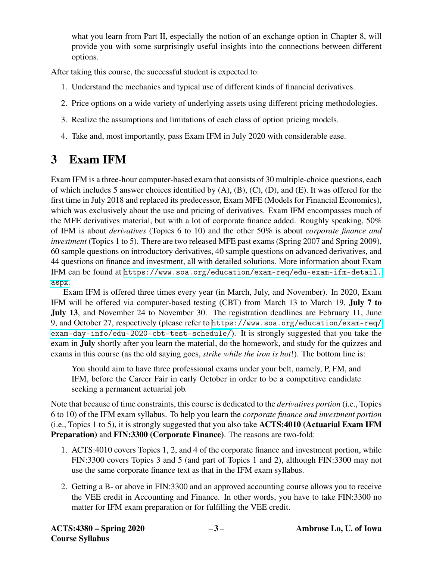what you learn from Part II, especially the notion of an exchange option in Chapter 8, will provide you with some surprisingly useful insights into the connections between different options.

After taking this course, the successful student is expected to:

- 1. Understand the mechanics and typical use of different kinds of financial derivatives.
- 2. Price options on a wide variety of underlying assets using different pricing methodologies.
- 3. Realize the assumptions and limitations of each class of option pricing models.
- 4. Take and, most importantly, pass Exam IFM in July 2020 with considerable ease.

# 3 Exam IFM

Exam IFM is a three-hour computer-based exam that consists of 30 multiple-choice questions, each of which includes 5 answer choices identified by (A), (B), (C), (D), and (E). It was offered for the first time in July 2018 and replaced its predecessor, Exam MFE (Models for Financial Economics), which was exclusively about the use and pricing of derivatives. Exam IFM encompasses much of the MFE derivatives material, but with a lot of corporate finance added. Roughly speaking, 50% of IFM is about *derivatives* (Topics 6 to 10) and the other 50% is about *corporate finance and investment* (Topics 1 to 5). There are two released MFE past exams (Spring 2007 and Spring 2009), 60 sample questions on introductory derivatives, 40 sample questions on advanced derivatives, and 44 questions on finance and investment, all with detailed solutions. More information about Exam IFM can be found at [https://www.soa.org/education/exam-req/edu-exam-ifm-detail.](https://www.soa.org/education/exam-req/edu-exam-ifm-detail.aspx) [aspx](https://www.soa.org/education/exam-req/edu-exam-ifm-detail.aspx).

Exam IFM is offered three times every year (in March, July, and November). In 2020, Exam IFM will be offered via computer-based testing (CBT) from March 13 to March 19, July 7 to July 13, and November 24 to November 30. The registration deadlines are February 11, June 9, and October 27, respectively (please refer to [https://www.soa.org/education/exam-req/](https://www.soa.org/education/exam-req/exam-day-info/edu-2020-cbt-test-schedule/) [exam-day-info/edu-2020-cbt-test-schedule/](https://www.soa.org/education/exam-req/exam-day-info/edu-2020-cbt-test-schedule/)). It is strongly suggested that you take the exam in July shortly after you learn the material, do the homework, and study for the quizzes and exams in this course (as the old saying goes, *strike while the iron is hot*!). The bottom line is:

You should aim to have three professional exams under your belt, namely, P, FM, and IFM, before the Career Fair in early October in order to be a competitive candidate seeking a permanent actuarial job.

Note that because of time constraints, this course is dedicated to the *derivatives portion* (i.e., Topics 6 to 10) of the IFM exam syllabus. To help you learn the *corporate finance and investment portion* (i.e., Topics 1 to 5), it is strongly suggested that you also take ACTS:4010 (Actuarial Exam IFM Preparation) and FIN:3300 (Corporate Finance). The reasons are two-fold:

- 1. ACTS:4010 covers Topics 1, 2, and 4 of the corporate finance and investment portion, while FIN:3300 covers Topics 3 and 5 (and part of Topics 1 and 2), although FIN:3300 may not use the same corporate finance text as that in the IFM exam syllabus.
- 2. Getting a B- or above in FIN:3300 and an approved accounting course allows you to receive the VEE credit in Accounting and Finance. In other words, you have to take FIN:3300 no matter for IFM exam preparation or for fulfilling the VEE credit.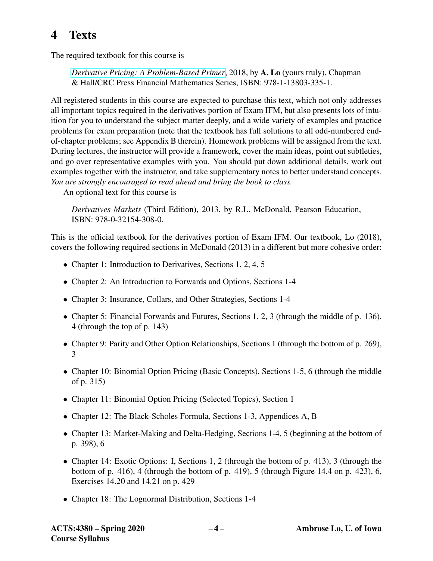## 4 Texts

The required textbook for this course is

*[Derivative Pricing: A Problem-Based Primer](https://www.crcpress.com/Derivative-Pricing-A-Problem-Based-Primer/Lo/p/book/9781138033351)*, 2018, by A. Lo (yours truly), Chapman & Hall/CRC Press Financial Mathematics Series, ISBN: 978-1-13803-335-1.

All registered students in this course are expected to purchase this text, which not only addresses all important topics required in the derivatives portion of Exam IFM, but also presents lots of intuition for you to understand the subject matter deeply, and a wide variety of examples and practice problems for exam preparation (note that the textbook has full solutions to all odd-numbered endof-chapter problems; see Appendix B therein). Homework problems will be assigned from the text. During lectures, the instructor will provide a framework, cover the main ideas, point out subtleties, and go over representative examples with you. You should put down additional details, work out examples together with the instructor, and take supplementary notes to better understand concepts. *You are strongly encouraged to read ahead and bring the book to class.*

An optional text for this course is

*Derivatives Markets* (Third Edition), 2013, by R.L. McDonald, Pearson Education, ISBN: 978-0-32154-308-0.

This is the official textbook for the derivatives portion of Exam IFM. Our textbook, Lo (2018), covers the following required sections in McDonald (2013) in a different but more cohesive order:

- Chapter 1: Introduction to Derivatives, Sections 1, 2, 4, 5
- Chapter 2: An Introduction to Forwards and Options, Sections 1-4
- Chapter 3: Insurance, Collars, and Other Strategies, Sections 1-4
- Chapter 5: Financial Forwards and Futures, Sections 1, 2, 3 (through the middle of p. 136), 4 (through the top of p. 143)
- Chapter 9: Parity and Other Option Relationships, Sections 1 (through the bottom of p. 269), 3
- Chapter 10: Binomial Option Pricing (Basic Concepts), Sections 1-5, 6 (through the middle of p. 315)
- Chapter 11: Binomial Option Pricing (Selected Topics), Section 1
- Chapter 12: The Black-Scholes Formula, Sections 1-3, Appendices A, B
- Chapter 13: Market-Making and Delta-Hedging, Sections 1-4, 5 (beginning at the bottom of p. 398), 6
- Chapter 14: Exotic Options: I, Sections 1, 2 (through the bottom of p. 413), 3 (through the bottom of p. 416), 4 (through the bottom of p. 419), 5 (through Figure 14.4 on p. 423), 6, Exercises 14.20 and 14.21 on p. 429
- Chapter 18: The Lognormal Distribution, Sections 1-4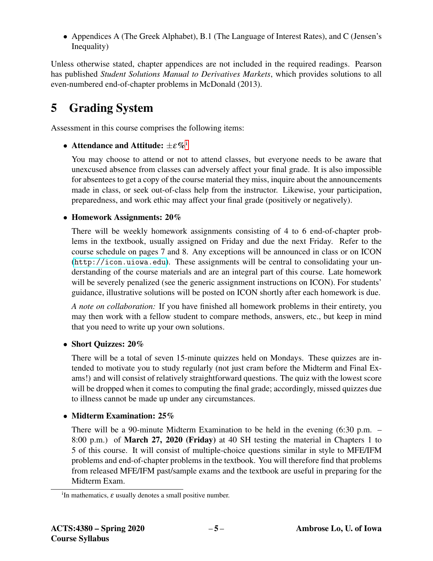• Appendices A (The Greek Alphabet), B.1 (The Language of Interest Rates), and C (Jensen's Inequality)

Unless otherwise stated, chapter appendices are not included in the required readings. Pearson has published *Student Solutions Manual to Derivatives Markets*, which provides solutions to all even-numbered end-of-chapter problems in McDonald (2013).

# 5 Grading System

Assessment in this course comprises the following items:

• Attendance and Att[i](#page-4-0)tude:  $\pm \varepsilon \%$ <sup>i</sup>

You may choose to attend or not to attend classes, but everyone needs to be aware that unexcused absence from classes can adversely affect your final grade. It is also impossible for absentees to get a copy of the course material they miss, inquire about the announcements made in class, or seek out-of-class help from the instructor. Likewise, your participation, preparedness, and work ethic may affect your final grade (positively or negatively).

#### • Homework Assignments: 20%

There will be weekly homework assignments consisting of 4 to 6 end-of-chapter problems in the textbook, usually assigned on Friday and due the next Friday. Refer to the course schedule on pages 7 and 8. Any exceptions will be announced in class or on ICON (<http://icon.uiowa.edu>). These assignments will be central to consolidating your understanding of the course materials and are an integral part of this course. Late homework will be severely penalized (see the generic assignment instructions on ICON). For students' guidance, illustrative solutions will be posted on ICON shortly after each homework is due.

*A note on collaboration:* If you have finished all homework problems in their entirety, you may then work with a fellow student to compare methods, answers, etc., but keep in mind that you need to write up your own solutions.

• Short Quizzes: 20%

There will be a total of seven 15-minute quizzes held on Mondays. These quizzes are intended to motivate you to study regularly (not just cram before the Midterm and Final Exams!) and will consist of relatively straightforward questions. The quiz with the lowest score will be dropped when it comes to computing the final grade; accordingly, missed quizzes due to illness cannot be made up under any circumstances.

### • Midterm Examination: 25%

There will be a 90-minute Midterm Examination to be held in the evening (6:30 p.m. – 8:00 p.m.) of March 27, 2020 (Friday) at 40 SH testing the material in Chapters 1 to 5 of this course. It will consist of multiple-choice questions similar in style to MFE/IFM problems and end-of-chapter problems in the textbook. You will therefore find that problems from released MFE/IFM past/sample exams and the textbook are useful in preparing for the Midterm Exam.

<span id="page-4-0"></span><sup>&</sup>lt;sup>i</sup>In mathematics,  $\varepsilon$  usually denotes a small positive number.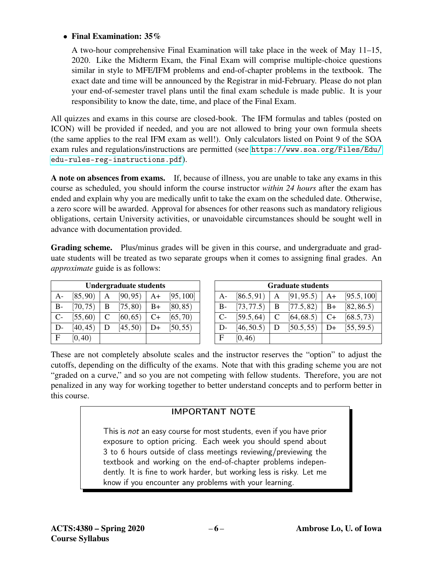#### • Final Examination: 35%

A two-hour comprehensive Final Examination will take place in the week of May 11–15, 2020. Like the Midterm Exam, the Final Exam will comprise multiple-choice questions similar in style to MFE/IFM problems and end-of-chapter problems in the textbook. The exact date and time will be announced by the Registrar in mid-February. Please do not plan your end-of-semester travel plans until the final exam schedule is made public. It is your responsibility to know the date, time, and place of the Final Exam.

All quizzes and exams in this course are closed-book. The IFM formulas and tables (posted on ICON) will be provided if needed, and you are not allowed to bring your own formula sheets (the same applies to the real IFM exam as well!). Only calculators listed on Point 9 of the SOA exam rules and regulations/instructions are permitted (see [https://www.soa.org/Files/Edu/](https://www.soa.org/Files/Edu/edu-rules-reg-instructions.pdf) [edu-rules-reg-instructions.pdf](https://www.soa.org/Files/Edu/edu-rules-reg-instructions.pdf)).

A note on absences from exams. If, because of illness, you are unable to take any exams in this course as scheduled, you should inform the course instructor *within 24 hours* after the exam has ended and explain why you are medically unfit to take the exam on the scheduled date. Otherwise, a zero score will be awarded. Approval for absences for other reasons such as mandatory religious obligations, certain University activities, or unavoidable circumstances should be sought well in advance with documentation provided.

Grading scheme. Plus/minus grades will be given in this course, and undergraduate and graduate students will be treated as two separate groups when it comes to assigning final grades. An *approximate* guide is as follows:

| <b>Undergraduate students</b> |          |   |          |      |           |
|-------------------------------|----------|---|----------|------|-----------|
| A-                            | [85, 90) | Α | [90, 95) | $A+$ | [95, 100] |
| $B-$                          | [70, 75) | B | [75, 80) | $B+$ | [80, 85)  |
| $C-$                          | [55, 60) | C | [60, 65) | $C+$ | [65, 70)  |
| $D-$                          | [40, 45) | D | [45, 50) | D+   | [50, 55)  |
| F.                            | [0, 40)  |   |          |      |           |

| <b>Graduate students</b> |            |   |               |      |             |
|--------------------------|------------|---|---------------|------|-------------|
| $A-$                     | [86.5, 91) | A | [91, 95.5]    | A+   | [95.5, 100] |
| $B-$                     | [73, 77.5] |   | $B$ [77.5,82) | $B+$ | [82, 86.5]  |
| $C-$                     | [59.5, 64] | C | [64, 68.5)    | C+   | [68.5, 73)  |
| $D-$                     | [46, 50.5) | D | [50.5, 55]    | $D+$ | [55, 59.5]  |
| F                        | [0, 46)    |   |               |      |             |

These are not completely absolute scales and the instructor reserves the "option" to adjust the cutoffs, depending on the difficulty of the exams. Note that with this grading scheme you are not "graded on a curve," and so you are not competing with fellow students. Therefore, you are not penalized in any way for working together to better understand concepts and to perform better in this course.

### IMPORTANT NOTE

This is not an easy course for most students, even if you have prior exposure to option pricing. Each week you should spend about 3 to 6 hours outside of class meetings reviewing/previewing the textbook and working on the end-of-chapter problems independently. It is fine to work harder, but working less is risky. Let me know if you encounter any problems with your learning.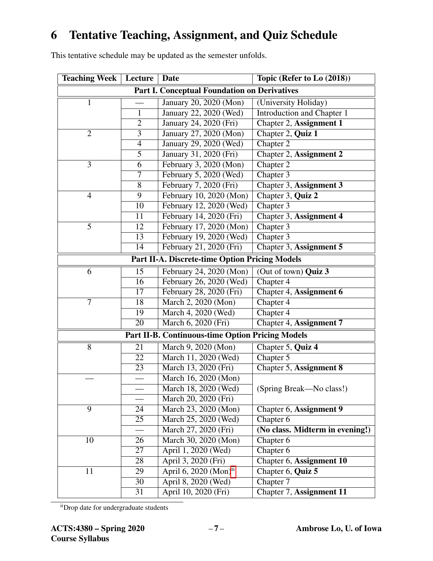### 6 Tentative Teaching, Assignment, and Quiz Schedule

This tentative schedule may be updated as the semester unfolds.

| <b>Teaching Week</b>                                  | Lecture                                                 | Date                       | Topic (Refer to Lo (2018))        |  |  |  |
|-------------------------------------------------------|---------------------------------------------------------|----------------------------|-----------------------------------|--|--|--|
| <b>Part I. Conceptual Foundation on Derivatives</b>   |                                                         |                            |                                   |  |  |  |
| $\mathbf{1}$                                          |                                                         | January 20, 2020 (Mon)     | (University Holiday)              |  |  |  |
|                                                       | $\mathbf{1}$                                            | January 22, 2020 (Wed)     | <b>Introduction and Chapter 1</b> |  |  |  |
|                                                       | $\overline{2}$                                          | January 24, 2020 (Fri)     | Chapter 2, Assignment 1           |  |  |  |
| $\overline{2}$                                        | $\overline{3}$                                          | January 27, 2020 (Mon)     | Chapter 2, Quiz 1                 |  |  |  |
|                                                       | $\overline{4}$                                          | January 29, 2020 (Wed)     | Chapter 2                         |  |  |  |
|                                                       | $\overline{5}$                                          | January 31, 2020 (Fri)     | Chapter 2, Assignment 2           |  |  |  |
| 3                                                     | 6                                                       | February 3, 2020 (Mon)     | Chapter 2                         |  |  |  |
|                                                       | 7                                                       | February 5, 2020 (Wed)     | Chapter 3                         |  |  |  |
|                                                       | 8                                                       | February 7, 2020 (Fri)     | Chapter 3, Assignment 3           |  |  |  |
| $\overline{4}$                                        | 9                                                       | February 10, 2020 (Mon)    | Chapter 3, Quiz 2                 |  |  |  |
|                                                       | $\overline{10}$                                         | February 12, 2020 (Wed)    | Chapter 3                         |  |  |  |
|                                                       | 11                                                      | February 14, 2020 (Fri)    | Chapter 3, Assignment 4           |  |  |  |
| 5                                                     | 12                                                      | February 17, 2020 (Mon)    | Chapter 3                         |  |  |  |
|                                                       | 13                                                      | February 19, 2020 (Wed)    | Chapter 3                         |  |  |  |
|                                                       | $\overline{14}$                                         | February 21, 2020 (Fri)    | Chapter 3, Assignment 5           |  |  |  |
| <b>Part II-A. Discrete-time Option Pricing Models</b> |                                                         |                            |                                   |  |  |  |
| 6                                                     | 15                                                      | February 24, 2020 (Mon)    | (Out of town) Quiz 3              |  |  |  |
|                                                       | 16                                                      | February 26, 2020 (Wed)    | Chapter 4                         |  |  |  |
|                                                       | 17                                                      | February 28, 2020 (Fri)    | Chapter 4, Assignment 6           |  |  |  |
| $\tau$                                                | 18                                                      | March 2, 2020 (Mon)        | Chapter 4                         |  |  |  |
|                                                       | 19                                                      | March 4, 2020 (Wed)        | Chapter 4                         |  |  |  |
|                                                       | 20                                                      | March 6, 2020 (Fri)        | Chapter 4, Assignment 7           |  |  |  |
|                                                       | <b>Part II-B. Continuous-time Option Pricing Models</b> |                            |                                   |  |  |  |
| 8                                                     | 21                                                      | March 9, 2020 (Mon)        | Chapter 5, Quiz 4                 |  |  |  |
|                                                       | $\overline{22}$                                         | March 11, 2020 (Wed)       | Chapter 5                         |  |  |  |
|                                                       | 23                                                      | March 13, 2020 (Fri)       | Chapter 5, Assignment 8           |  |  |  |
|                                                       |                                                         | March 16, 2020 (Mon)       |                                   |  |  |  |
|                                                       |                                                         | March 18, 2020 (Wed)       | (Spring Break—No class!)          |  |  |  |
|                                                       |                                                         | March 20, 2020 (Fri)       |                                   |  |  |  |
| 9                                                     | 24                                                      | March 23, 2020 (Mon)       | Chapter 6, Assignment 9           |  |  |  |
|                                                       | 25                                                      | March 25, 2020 (Wed)       | Chapter 6                         |  |  |  |
|                                                       |                                                         | March 27, 2020 (Fri)       | (No class. Midterm in evening!)   |  |  |  |
| 10                                                    | 26                                                      | March 30, 2020 (Mon)       | Chapter 6                         |  |  |  |
|                                                       | 27                                                      | April 1, 2020 (Wed)        | Chapter 6                         |  |  |  |
|                                                       | 28                                                      | April 3, 2020 (Fri)        | Chapter 6, Assignment 10          |  |  |  |
| 11                                                    | 29                                                      | April 6, 2020 $(Mon)^{ii}$ | Chapter 6, Quiz 5                 |  |  |  |
|                                                       | 30                                                      | April 8, 2020 (Wed)        | Chapter 7                         |  |  |  |
|                                                       | 31                                                      | April 10, 2020 (Fri)       | Chapter 7, Assignment 11          |  |  |  |

<span id="page-6-0"></span>iiDrop date for undergraduate students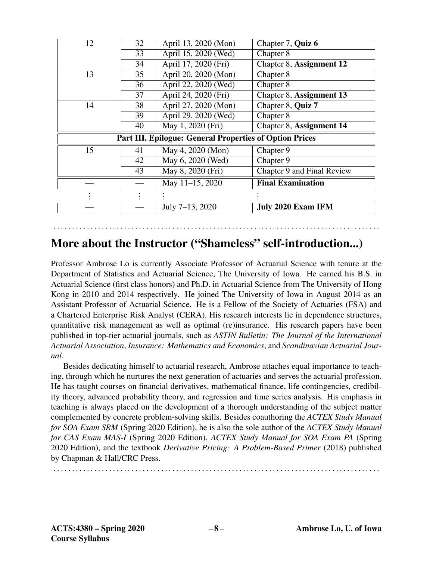| 12                                                             | 32 | April 13, 2020 (Mon) | Chapter 7, Quiz 6          |  |  |
|----------------------------------------------------------------|----|----------------------|----------------------------|--|--|
|                                                                | 33 | April 15, 2020 (Wed) | Chapter 8                  |  |  |
|                                                                | 34 | April 17, 2020 (Fri) | Chapter 8, Assignment 12   |  |  |
| 13                                                             | 35 | April 20, 2020 (Mon) | Chapter 8                  |  |  |
|                                                                | 36 | April 22, 2020 (Wed) | Chapter 8                  |  |  |
|                                                                | 37 | April 24, 2020 (Fri) | Chapter 8, Assignment 13   |  |  |
| 14                                                             | 38 | April 27, 2020 (Mon) | Chapter 8, Quiz 7          |  |  |
|                                                                | 39 | April 29, 2020 (Wed) | Chapter 8                  |  |  |
|                                                                | 40 | May 1, 2020 (Fri)    | Chapter 8, Assignment 14   |  |  |
| <b>Part III. Epilogue: General Properties of Option Prices</b> |    |                      |                            |  |  |
| 15                                                             | 41 | May 4, 2020 (Mon)    | Chapter 9                  |  |  |
|                                                                | 42 | May 6, 2020 (Wed)    | Chapter 9                  |  |  |
|                                                                | 43 | May 8, 2020 (Fri)    | Chapter 9 and Final Review |  |  |
|                                                                |    | May 11-15, 2020      | <b>Final Examination</b>   |  |  |
|                                                                |    |                      |                            |  |  |
|                                                                |    | July 7-13, 2020      | <b>July 2020 Exam IFM</b>  |  |  |

### More about the Instructor ("Shameless" self-introduction...)

. . . . . . . . . . . . . . . . . . . . . . . . . . . . . . . . . . . . . . . . . . . . . . . . . . . . . . . . . . . . . . . . . . . . . . . . . . . . . . . . . . . . . . . .

Professor Ambrose Lo is currently Associate Professor of Actuarial Science with tenure at the Department of Statistics and Actuarial Science, The University of Iowa. He earned his B.S. in Actuarial Science (first class honors) and Ph.D. in Actuarial Science from The University of Hong Kong in 2010 and 2014 respectively. He joined The University of Iowa in August 2014 as an Assistant Professor of Actuarial Science. He is a Fellow of the Society of Actuaries (FSA) and a Chartered Enterprise Risk Analyst (CERA). His research interests lie in dependence structures, quantitative risk management as well as optimal (re)insurance. His research papers have been published in top-tier actuarial journals, such as *ASTIN Bulletin: The Journal of the International Actuarial Association*, *Insurance: Mathematics and Economics*, and *Scandinavian Actuarial Journal*.

Besides dedicating himself to actuarial research, Ambrose attaches equal importance to teaching, through which he nurtures the next generation of actuaries and serves the actuarial profession. He has taught courses on financial derivatives, mathematical finance, life contingencies, credibility theory, advanced probability theory, and regression and time series analysis. His emphasis in teaching is always placed on the development of a thorough understanding of the subject matter complemented by concrete problem-solving skills. Besides coauthoring the *ACTEX Study Manual for SOA Exam SRM* (Spring 2020 Edition), he is also the sole author of the *ACTEX Study Manual for CAS Exam MAS-I* (Spring 2020 Edition), *ACTEX Study Manual for SOA Exam PA* (Spring 2020 Edition), and the textbook *Derivative Pricing: A Problem-Based Primer* (2018) published by Chapman & Hall/CRC Press.

. . . . . . . . . . . . . . . . . . . . . . . . . . . . . . . . . . . . . . . . . . . . . . . . . . . . . . . . . . . . . . . . . . . . . . . . . . . . . . . . . . . . . . . .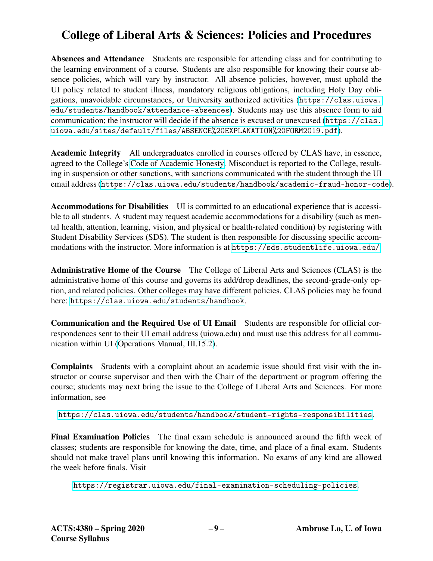## College of Liberal Arts & Sciences: Policies and Procedures

Absences and Attendance Students are responsible for attending class and for contributing to the learning environment of a course. Students are also responsible for knowing their course absence policies, which will vary by instructor. All absence policies, however, must uphold the UI policy related to student illness, mandatory religious obligations, including Holy Day obligations, unavoidable circumstances, or University authorized activities ([https://clas.uiowa.](https://clas.uiowa.edu/students/handbook/attendance-absences) [edu/students/handbook/attendance-absences](https://clas.uiowa.edu/students/handbook/attendance-absences)). Students may use this absence form to aid communication; the instructor will decide if the absence is excused or unexcused ([https://clas.](https://clas.uiowa.edu/sites/default/files/ABSENCE%20EXPLANATION%20FORM2019.pdf) [uiowa.edu/sites/default/files/ABSENCE%20EXPLANATION%20FORM2019.pdf](https://clas.uiowa.edu/sites/default/files/ABSENCE%20EXPLANATION%20FORM2019.pdf)).

Academic Integrity All undergraduates enrolled in courses offered by CLAS have, in essence, agreed to the College's [Code of Academic Honesty.](https://clas.uiowa.edu/students/handbook/academic-fraud-honor-code) Misconduct is reported to the College, resulting in suspension or other sanctions, with sanctions communicated with the student through the UI email address (<https://clas.uiowa.edu/students/handbook/academic-fraud-honor-code>).

Accommodations for Disabilities UI is committed to an educational experience that is accessible to all students. A student may request academic accommodations for a disability (such as mental health, attention, learning, vision, and physical or health-related condition) by registering with Student Disability Services (SDS). The student is then responsible for discussing specific accommodations with the instructor. More information is at <https://sds.studentlife.uiowa.edu/>.

Administrative Home of the Course The College of Liberal Arts and Sciences (CLAS) is the administrative home of this course and governs its add/drop deadlines, the second-grade-only option, and related policies. Other colleges may have different policies. CLAS policies may be found here: <https://clas.uiowa.edu/students/handbook>.

Communication and the Required Use of UI Email Students are responsible for official correspondences sent to their UI email address (uiowa.edu) and must use this address for all communication within UI [\(Operations Manual, III.15.2\)](https://opsmanual.uiowa.edu/human-resources/professional-ethics-and-academic-responsibility#15.2).

Complaints Students with a complaint about an academic issue should first visit with the instructor or course supervisor and then with the Chair of the department or program offering the course; students may next bring the issue to the College of Liberal Arts and Sciences. For more information, see

<https://clas.uiowa.edu/students/handbook/student-rights-responsibilities>.

Final Examination Policies The final exam schedule is announced around the fifth week of classes; students are responsible for knowing the date, time, and place of a final exam. Students should not make travel plans until knowing this information. No exams of any kind are allowed the week before finals. Visit

<https://registrar.uiowa.edu/final-examination-scheduling-policies>.